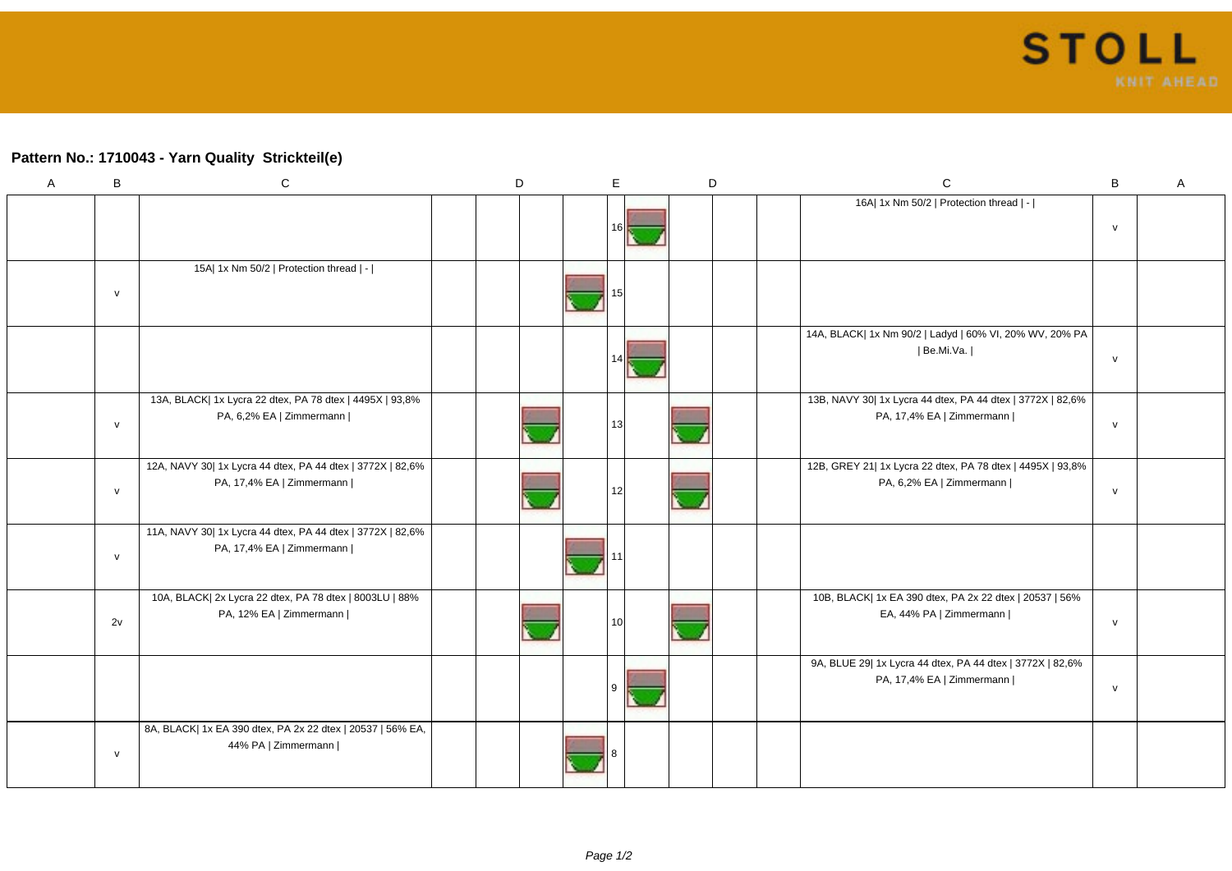## **Pattern No.: 1710043 - Yarn Quality Strickteil(e)**

| A | $\sf B$      | ${\bf C}$                                                                               | D | E   | D | $\mathsf{C}$                                                                            | B            | A |
|---|--------------|-----------------------------------------------------------------------------------------|---|-----|---|-----------------------------------------------------------------------------------------|--------------|---|
|   |              |                                                                                         |   |     |   | 16A  1x Nm 50/2   Protection thread   -                                                 | $\mathsf{v}$ |   |
|   | $\mathsf{v}$ | 15A  1x Nm 50/2   Protection thread   -                                                 |   |     |   |                                                                                         |              |   |
|   |              |                                                                                         |   |     |   | 14A, BLACK  1x Nm 90/2   Ladyd   60% VI, 20% WV, 20% PA<br>  Be.Mi.Va.                  | $\mathsf{v}$ |   |
|   | $\mathsf{v}$ | 13A, BLACK  1x Lycra 22 dtex, PA 78 dtex   4495X   93,8%<br>PA, 6,2% EA   Zimmermann    |   | 131 |   | 13B, NAVY 30  1x Lycra 44 dtex, PA 44 dtex   3772X   82,6%<br>PA, 17,4% EA   Zimmermann | ${\sf V}$    |   |
|   | $\mathsf{v}$ | 12A, NAVY 30  1x Lycra 44 dtex, PA 44 dtex   3772X   82,6%<br>PA, 17,4% EA   Zimmermann |   | 12  |   | 12B, GREY 21  1x Lycra 22 dtex, PA 78 dtex   4495X   93,8%<br>PA, 6,2% EA   Zimmermann  | ${\sf V}$    |   |
|   | $\mathsf{v}$ | 11A, NAVY 30  1x Lycra 44 dtex, PA 44 dtex   3772X   82,6%<br>PA, 17,4% EA   Zimmermann |   |     |   |                                                                                         |              |   |
|   | 2v           | 10A, BLACK  2x Lycra 22 dtex, PA 78 dtex   8003LU   88%<br>PA, 12% EA   Zimmermann      |   | 10I |   | 10B, BLACK  1x EA 390 dtex, PA 2x 22 dtex   20537   56%<br>EA, 44% PA   Zimmermann      | $\mathsf{v}$ |   |
|   |              |                                                                                         |   |     |   | 9A, BLUE 29  1x Lycra 44 dtex, PA 44 dtex   3772X   82,6%<br>PA, 17,4% EA   Zimmermann  | ${\sf v}$    |   |
|   | $\mathsf{v}$ | 8A, BLACK  1x EA 390 dtex, PA 2x 22 dtex   20537   56% EA,<br>44% PA   Zimmermann       |   |     |   |                                                                                         |              |   |